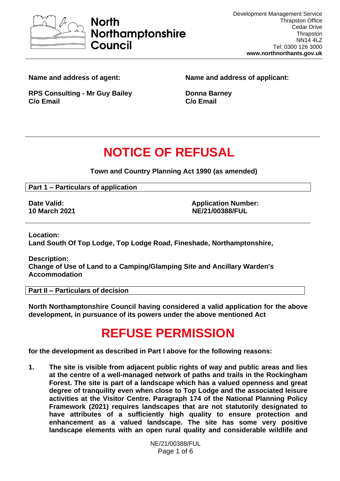

**Name and address of agent:**

**Name and address of applicant:**

**RPS Consulting - Mr Guy Bailey C/o Email**

**Donna Barney C/o Email** 

# **NOTICE OF REFUSAL**

**Town and Country Planning Act 1990 (as amended)**

**Part 1 – Particulars of application**

**Date Valid: Date Valid: Application Number: Application Number: Application Number: 10 March 2021 NE/21/00388/FUL**

**Location:**

**Land South Of Top Lodge, Top Lodge Road, Fineshade, Northamptonshire,** 

**Description: Change of Use of Land to a Camping/Glamping Site and Ancillary Warden's Accommodation**

**Part II – Particulars of decision**

**North Northamptonshire Council having considered a valid application for the above development, in pursuance of its powers under the above mentioned Act**

# **REFUSE PERMISSION**

**for the development as described in Part I above for the following reasons:**

**1. The site is visible from adjacent public rights of way and public areas and lies at the centre of a well-managed network of paths and trails in the Rockingham Forest. The site is part of a landscape which has a valued openness and great degree of tranquility even when close to Top Lodge and the associated leisure activities at the Visitor Centre. Paragraph 174 of the National Planning Policy Framework (2021) requires landscapes that are not statutorily designated to have attributes of a sufficiently high quality to ensure protection and enhancement as a valued landscape. The site has some very positive landscape elements with an open rural quality and considerable wildlife and** 

> NE/21/00388/FUL Page 1 of 6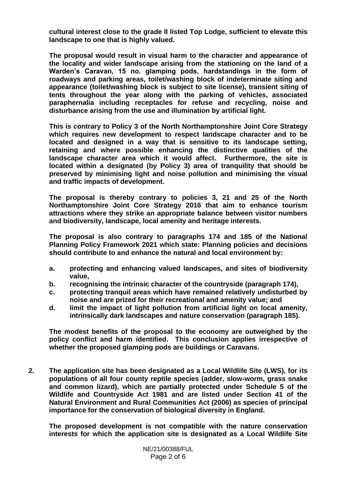**cultural interest close to the grade II listed Top Lodge, sufficient to elevate this landscape to one that is highly valued.**

**The proposal would result in visual harm to the character and appearance of the locality and wider landscape arising from the stationing on the land of a Warden's Caravan, 15 no. glamping pods, hardstandings in the form of roadways and parking areas, toilet/washing block of indeterminate siting and appearance (toilet/washing block is subject to site license), transient siting of tents throughout the year along with the parking of vehicles, associated paraphernalia including receptacles for refuse and recycling, noise and disturbance arising from the use and illumination by artificial light.**

**This is contrary to Policy 3 of the North Northamptonshire Joint Core Strategy which requires new development to respect landscape character and to be located and designed in a way that is sensitive to its landscape setting, retaining and where possible enhancing the distinctive qualities of the landscape character area which it would affect. Furthermore, the site is located within a designated (by Policy 3) area of tranquility that should be preserved by minimising light and noise pollution and minimising the visual and traffic impacts of development.** 

**The proposal is thereby contrary to policies 3, 21 and 25 of the North Northamptonshire Joint Core Strategy 2016 that aim to enhance tourism attractions where they strike an appropriate balance between visitor numbers and biodiversity, landscape, local amenity and heritage interests.** 

**The proposal is also contrary to paragraphs 174 and 185 of the National Planning Policy Framework 2021 which state: Planning policies and decisions should contribute to and enhance the natural and local environment by:**

- **a. protecting and enhancing valued landscapes, and sites of biodiversity value,**
- **b. recognising the intrinsic character of the countryside (paragraph 174),**
- **c. protecting tranquil areas which have remained relatively undisturbed by noise and are prized for their recreational and amenity value; and**
- **d. limit the impact of light pollution from artificial light on local amenity, intrinsically dark landscapes and nature conservation (paragraph 185).**

**The modest benefits of the proposal to the economy are outweighed by the policy conflict and harm identified. This conclusion applies irrespective of whether the proposed glamping pods are buildings or Caravans.**

**2. The application site has been designated as a Local Wildlife Site (LWS), for its populations of all four county reptile species (adder, slow-worm, grass snake and common lizard), which are partially protected under Schedule 5 of the Wildlife and Countryside Act 1981 and are listed under Section 41 of the Natural Environment and Rural Communities Act (2006) as species of principal importance for the conservation of biological diversity in England.** 

**The proposed development is not compatible with the nature conservation interests for which the application site is designated as a Local Wildlife Site**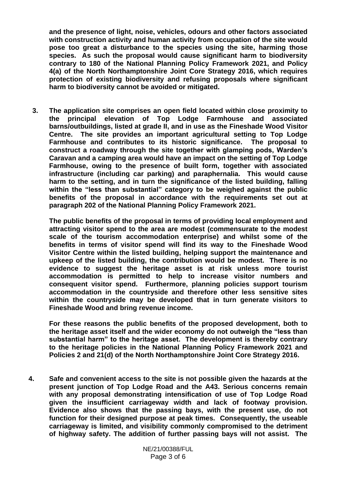**and the presence of light, noise, vehicles, odours and other factors associated with construction activity and human activity from occupation of the site would pose too great a disturbance to the species using the site, harming those species. As such the proposal would cause significant harm to biodiversity contrary to 180 of the National Planning Policy Framework 2021, and Policy 4(a) of the North Northamptonshire Joint Core Strategy 2016, which requires protection of existing biodiversity and refusing proposals where significant harm to biodiversity cannot be avoided or mitigated.**

**3. The application site comprises an open field located within close proximity to the principal elevation of Top Lodge Farmhouse and associated barns/outbuildings, listed at grade II, and in use as the Fineshade Wood Visitor Centre. The site provides an important agricultural setting to Top Lodge Farmhouse and contributes to its historic significance. The proposal to construct a roadway through the site together with glamping pods, Warden's Caravan and a camping area would have an impact on the setting of Top Lodge Farmhouse, owing to the presence of built form, together with associated infrastructure (including car parking) and paraphernalia. This would cause harm to the setting, and in turn the significance of the listed building, falling within the "less than substantial" category to be weighed against the public benefits of the proposal in accordance with the requirements set out at paragraph 202 of the National Planning Policy Framework 2021.** 

**The public benefits of the proposal in terms of providing local employment and attracting visitor spend to the area are modest (commensurate to the modest scale of the tourism accommodation enterprise) and whilst some of the benefits in terms of visitor spend will find its way to the Fineshade Wood Visitor Centre within the listed building, helping support the maintenance and upkeep of the listed building, the contribution would be modest. There is no evidence to suggest the heritage asset is at risk unless more tourist accommodation is permitted to help to increase visitor numbers and consequent visitor spend. Furthermore, planning policies support tourism accommodation in the countryside and therefore other less sensitive sites within the countryside may be developed that in turn generate visitors to Fineshade Wood and bring revenue income.**

**For these reasons the public benefits of the proposed development, both to the heritage asset itself and the wider economy do not outweigh the "less than substantial harm" to the heritage asset. The development is thereby contrary to the heritage policies in the National Planning Policy Framework 2021 and Policies 2 and 21(d) of the North Northamptonshire Joint Core Strategy 2016.** 

**4. Safe and convenient access to the site is not possible given the hazards at the present junction of Top Lodge Road and the A43. Serious concerns remain with any proposal demonstrating intensification of use of Top Lodge Road given the insufficient carriageway width and lack of footway provision. Evidence also shows that the passing bays, with the present use, do not function for their designed purpose at peak times. Consequently, the useable carriageway is limited, and visibility commonly compromised to the detriment of highway safety. The addition of further passing bays will not assist. The**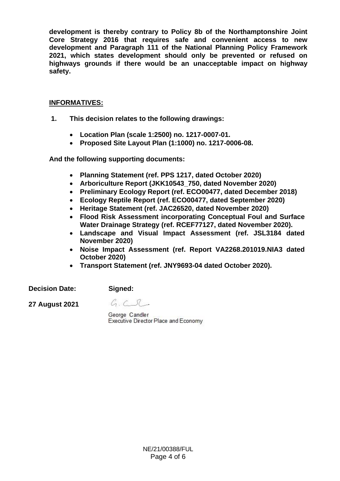**development is thereby contrary to Policy 8b of the Northamptonshire Joint Core Strategy 2016 that requires safe and convenient access to new development and Paragraph 111 of the National Planning Policy Framework 2021, which states development should only be prevented or refused on highways grounds if there would be an unacceptable impact on highway safety.**

#### **INFORMATIVES:**

- **1. This decision relates to the following drawings:**
	- **Location Plan (scale 1:2500) no. 1217-0007-01.**
	- **Proposed Site Layout Plan (1:1000) no. 1217-0006-08.**

**And the following supporting documents:**

- **Planning Statement (ref. PPS 1217, dated October 2020)**
- **Arboriculture Report (JKK10543\_750, dated November 2020)**
- **Preliminary Ecology Report (ref. ECO00477, dated December 2018)**
- **Ecology Reptile Report (ref. ECO00477, dated September 2020)**
- **Heritage Statement (ref. JAC26520, dated November 2020)**
- **Flood Risk Assessment incorporating Conceptual Foul and Surface Water Drainage Strategy (ref. RCEF77127, dated November 2020).**
- **Landscape and Visual Impact Assessment (ref. JSL3184 dated November 2020)**
- **Noise Impact Assessment (ref. Report VA2268.201019.NIA3 dated October 2020)**
- **Transport Statement (ref. JNY9693-04 dated October 2020).**

**Decision Date:** 

**Signed:**

**27 August 2021**

 $G.C.C.$ 

George Candler Executive Director Place and Economy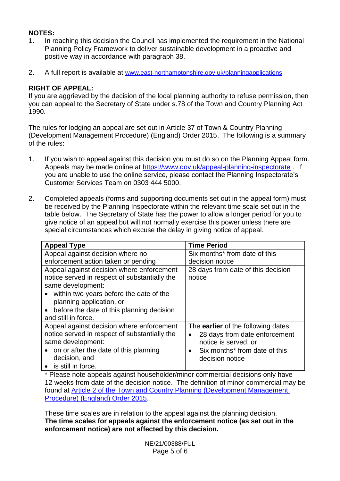## **NOTES:**

- 1. In reaching this decision the Council has implemented the requirement in the National Planning Policy Framework to deliver sustainable development in a proactive and positive way in accordance with paragraph 38.
- 2. A full report is available at [www.east-northamptonshire.gov.uk/planningapplications](http://www.east-northamptonshire.gov.uk/planningapplications)

## **RIGHT OF APPEAL:**

If you are aggrieved by the decision of the local planning authority to refuse permission, then you can appeal to the Secretary of State under s.78 of the Town and Country Planning Act 1990.

The rules for lodging an appeal are set out in Article 37 of Town & Country Planning (Development Management Procedure) (England) Order 2015. The following is a summary of the rules:

- 1. If you wish to appeal against this decision you must do so on the Planning Appeal form. Appeals may be made online at<https://www.gov.uk/appeal-planning-inspectorate> . If you are unable to use the online service, please contact the Planning Inspectorate's Customer Services Team on 0303 444 5000.
- 2. Completed appeals (forms and supporting documents set out in the appeal form) must be received by the Planning Inspectorate within the relevant time scale set out in the table below. The Secretary of State has the power to allow a longer period for you to give notice of an appeal but will not normally exercise this power unless there are special circumstances which excuse the delay in giving notice of appeal.

| <b>Appeal Type</b>                                     | <b>Time Period</b>                         |
|--------------------------------------------------------|--------------------------------------------|
| Appeal against decision where no                       | Six months* from date of this              |
| enforcement action taken or pending                    | decision notice                            |
| Appeal against decision where enforcement              | 28 days from date of this decision         |
| notice served in respect of substantially the          | notice                                     |
| same development:                                      |                                            |
| • within two years before the date of the              |                                            |
| planning application, or                               |                                            |
| before the date of this planning decision<br>$\bullet$ |                                            |
| and still in force.                                    |                                            |
| Appeal against decision where enforcement              | The <b>earlier</b> of the following dates: |
| notice served in respect of substantially the          | 28 days from date enforcement<br>$\bullet$ |
| same development:                                      | notice is served, or                       |
| • on or after the date of this planning                | Six months* from date of this<br>$\bullet$ |
| decision, and                                          | decision notice                            |
| • is still in force.                                   |                                            |

\* Please note appeals against householder/minor commercial decisions only have 12 weeks from date of the decision notice. The definition of minor commercial may be found at [Article 2 of the Town and Country Planning \(Development Management](https://www.legislation.gov.uk/uksi/2015/595/article/2/made) [Procedure\) \(England\) Order 2015.](https://www.legislation.gov.uk/uksi/2015/595/article/2/made)

These time scales are in relation to the appeal against the planning decision. **The time scales for appeals against the enforcement notice (as set out in the enforcement notice) are not affected by this decision.**